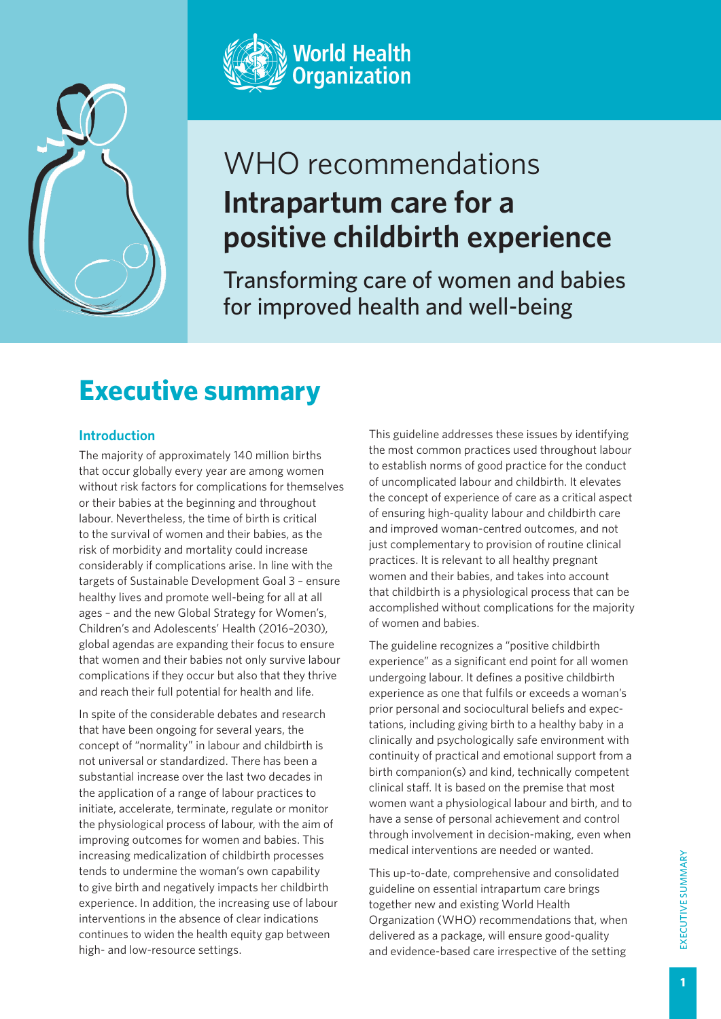



# WHO recommendations **Intrapartum care for a positive childbirth experience**

Transforming care of women and babies for improved health and well-being

## **Executive summary**

### **Introduction**

The majority of approximately 140 million births that occur globally every year are among women without risk factors for complications for themselves or their babies at the beginning and throughout labour. Nevertheless, the time of birth is critical to the survival of women and their babies, as the risk of morbidity and mortality could increase considerably if complications arise. In line with the targets of Sustainable Development Goal 3 – ensure healthy lives and promote well-being for all at all ages – and the new Global Strategy for Women's, Children's and Adolescents' Health (2016–2030), global agendas are expanding their focus to ensure that women and their babies not only survive labour complications if they occur but also that they thrive and reach their full potential for health and life.

In spite of the considerable debates and research that have been ongoing for several years, the concept of "normality" in labour and childbirth is not universal or standardized. There has been a substantial increase over the last two decades in the application of a range of labour practices to initiate, accelerate, terminate, regulate or monitor the physiological process of labour, with the aim of improving outcomes for women and babies. This increasing medicalization of childbirth processes tends to undermine the woman's own capability to give birth and negatively impacts her childbirth experience. In addition, the increasing use of labour interventions in the absence of clear indications continues to widen the health equity gap between high- and low-resource settings.

This guideline addresses these issues by identifying the most common practices used throughout labour to establish norms of good practice for the conduct of uncomplicated labour and childbirth. It elevates the concept of experience of care as a critical aspect of ensuring high-quality labour and childbirth care and improved woman-centred outcomes, and not just complementary to provision of routine clinical practices. It is relevant to all healthy pregnant women and their babies, and takes into account that childbirth is a physiological process that can be accomplished without complications for the majority of women and babies.

The guideline recognizes a "positive childbirth experience" as a significant end point for all women undergoing labour. It defines a positive childbirth experience as one that fulfils or exceeds a woman's prior personal and sociocultural beliefs and expectations, including giving birth to a healthy baby in a clinically and psychologically safe environment with continuity of practical and emotional support from a birth companion(s) and kind, technically competent clinical staff. It is based on the premise that most women want a physiological labour and birth, and to have a sense of personal achievement and control through involvement in decision-making, even when medical interventions are needed or wanted.

This up-to-date, comprehensive and consolidated guideline on essential intrapartum care brings together new and existing World Health Organization (WHO) recommendations that, when delivered as a package, will ensure good-quality and evidence-based care irrespective of the setting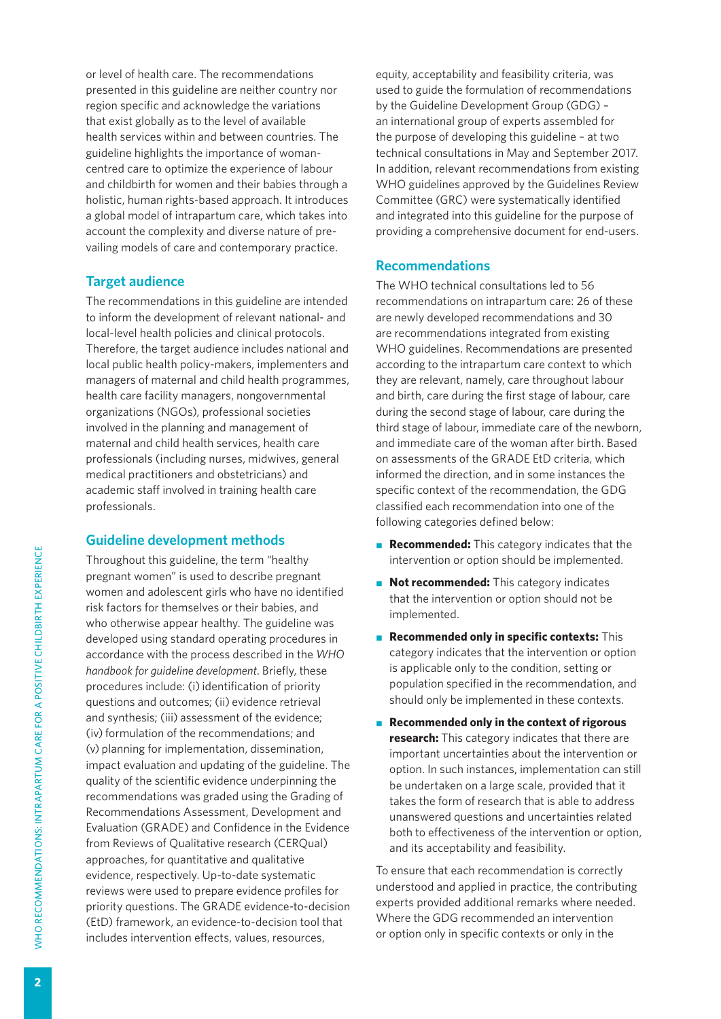or level of health care. The recommendations presented in this guideline are neither country nor region specific and acknowledge the variations that exist globally as to the level of available health services within and between countries. The guideline highlights the importance of womancentred care to optimize the experience of labour and childbirth for women and their babies through a holistic, human rights-based approach. It introduces a global model of intrapartum care, which takes into account the complexity and diverse nature of prevailing models of care and contemporary practice.

#### **Target audience**

The recommendations in this guideline are intended to inform the development of relevant national- and local-level health policies and clinical protocols. Therefore, the target audience includes national and local public health policy-makers, implementers and managers of maternal and child health programmes, health care facility managers, nongovernmental organizations (NGOs), professional societies involved in the planning and management of maternal and child health services, health care professionals (including nurses, midwives, general medical practitioners and obstetricians) and academic staff involved in training health care professionals.

#### **Guideline development methods**

Throughout this guideline, the term "healthy pregnant women" is used to describe pregnant women and adolescent girls who have no identified risk factors for themselves or their babies, and who otherwise appear healthy. The guideline was developed using standard operating procedures in accordance with the process described in the *WHO handbook for guideline development*. Briefly, these procedures include: (i) identification of priority questions and outcomes; (ii) evidence retrieval and synthesis; (iii) assessment of the evidence; (iv) formulation of the recommendations; and (v) planning for implementation, dissemination, impact evaluation and updating of the guideline. The quality of the scientific evidence underpinning the recommendations was graded using the Grading of Recommendations Assessment, Development and Evaluation (GRADE) and Confidence in the Evidence from Reviews of Qualitative research (CERQual) approaches, for quantitative and qualitative evidence, respectively. Up-to-date systematic reviews were used to prepare evidence profiles for priority questions. The GRADE evidence-to-decision (EtD) framework, an evidence-to-decision tool that includes intervention effects, values, resources,

equity, acceptability and feasibility criteria, was used to guide the formulation of recommendations by the Guideline Development Group (GDG) – an international group of experts assembled for the purpose of developing this guideline – at two technical consultations in May and September 2017. In addition, relevant recommendations from existing WHO guidelines approved by the Guidelines Review Committee (GRC) were systematically identified and integrated into this guideline for the purpose of providing a comprehensive document for end-users.

#### **Recommendations**

The WHO technical consultations led to 56 recommendations on intrapartum care: 26 of these are newly developed recommendations and 30 are recommendations integrated from existing WHO guidelines. Recommendations are presented according to the intrapartum care context to which they are relevant, namely, care throughout labour and birth, care during the first stage of labour, care during the second stage of labour, care during the third stage of labour, immediate care of the newborn, and immediate care of the woman after birth. Based on assessments of the GRADE EtD criteria, which informed the direction, and in some instances the specific context of the recommendation, the GDG classified each recommendation into one of the following categories defined below:

- **Recommended:** This category indicates that the intervention or option should be implemented.
- **Not recommended:** This category indicates that the intervention or option should not be implemented.
- **Recommended only in specific contexts:** This category indicates that the intervention or option is applicable only to the condition, setting or population specified in the recommendation, and should only be implemented in these contexts.
- **Recommended only in the context of rigorous research:** This category indicates that there are important uncertainties about the intervention or option. In such instances, implementation can still be undertaken on a large scale, provided that it takes the form of research that is able to address unanswered questions and uncertainties related both to effectiveness of the intervention or option, and its acceptability and feasibility.

To ensure that each recommendation is correctly understood and applied in practice, the contributing experts provided additional remarks where needed. Where the GDG recommended an intervention or option only in specific contexts or only in the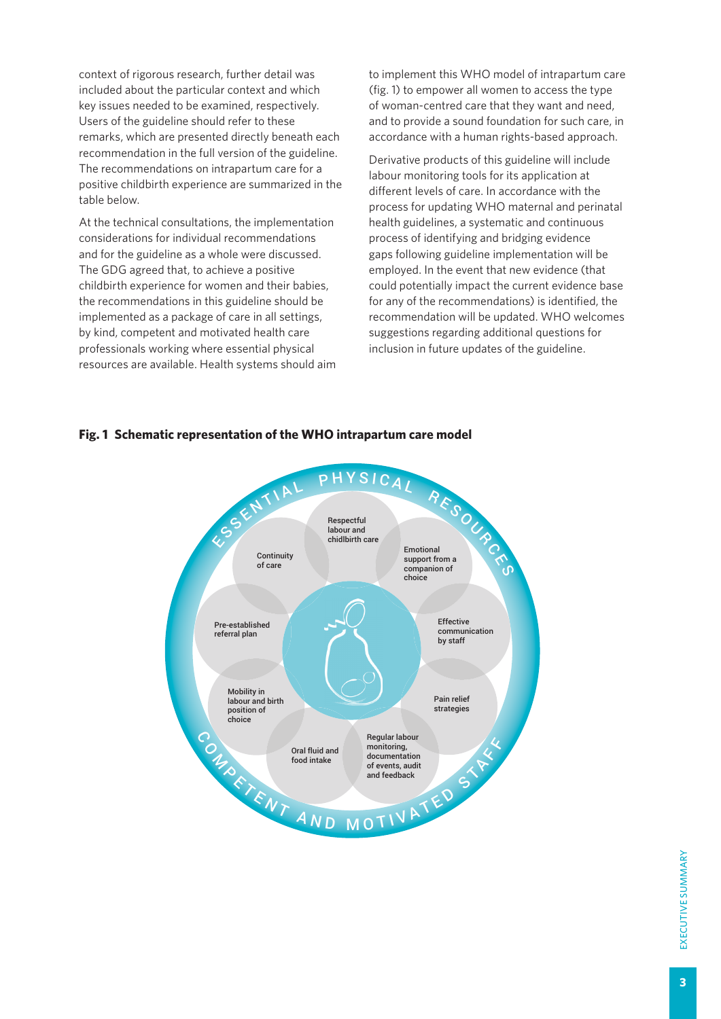context of rigorous research, further detail was included about the particular context and which key issues needed to be examined, respectively. Users of the guideline should refer to these remarks, which are presented directly beneath each recommendation in the full version of the guideline. The recommendations on intrapartum care for a positive childbirth experience are summarized in the table below.

At the technical consultations, the implementation considerations for individual recommendations and for the guideline as a whole were discussed. The GDG agreed that, to achieve a positive childbirth experience for women and their babies, the recommendations in this guideline should be implemented as a package of care in all settings, by kind, competent and motivated health care professionals working where essential physical resources are available. Health systems should aim to implement this WHO model of intrapartum care (fig. 1) to empower all women to access the type of woman-centred care that they want and need, and to provide a sound foundation for such care, in accordance with a human rights-based approach.

Derivative products of this guideline will include labour monitoring tools for its application at different levels of care. In accordance with the process for updating WHO maternal and perinatal health guidelines, a systematic and continuous process of identifying and bridging evidence gaps following guideline implementation will be employed. In the event that new evidence (that could potentially impact the current evidence base for any of the recommendations) is identified, the recommendation will be updated. WHO welcomes suggestions regarding additional questions for inclusion in future updates of the guideline.



#### **Fig. 1 Schematic representation of the WHO intrapartum care model**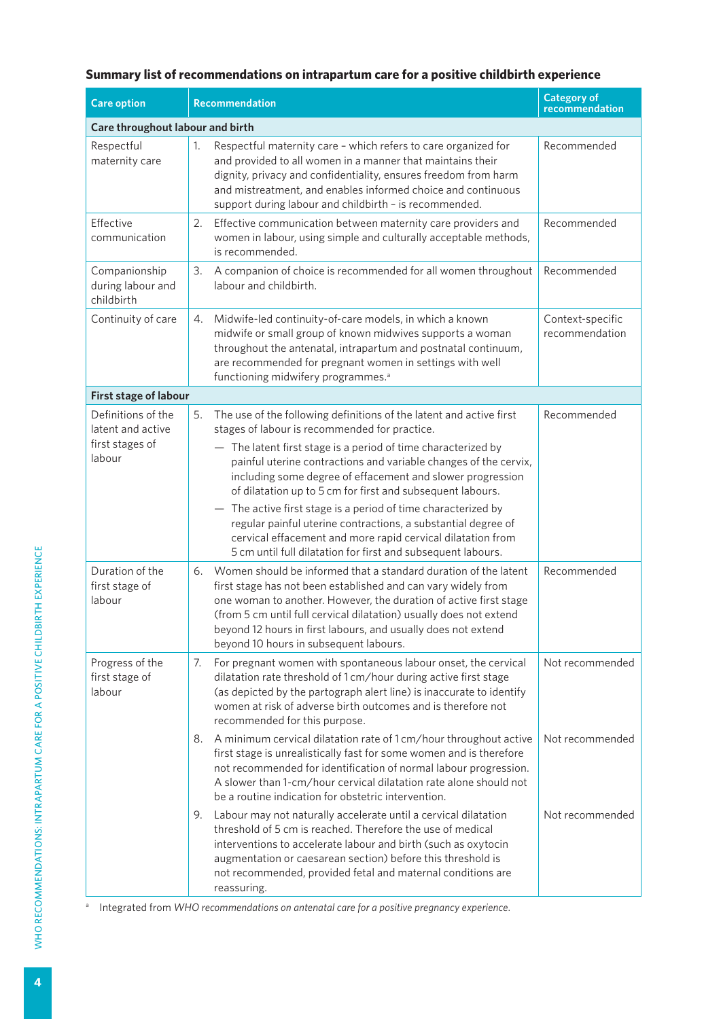#### **Summary list of recommendations on intrapartum care for a positive childbirth experience**

| <b>Care option</b>                                                   | Recommendation                                                                                                                                                                                                                                                                                                                                                                               | <b>Category of</b><br>recommendation |
|----------------------------------------------------------------------|----------------------------------------------------------------------------------------------------------------------------------------------------------------------------------------------------------------------------------------------------------------------------------------------------------------------------------------------------------------------------------------------|--------------------------------------|
| Care throughout labour and birth                                     |                                                                                                                                                                                                                                                                                                                                                                                              |                                      |
| Respectful<br>maternity care                                         | Respectful maternity care - which refers to care organized for<br>1.<br>and provided to all women in a manner that maintains their<br>dignity, privacy and confidentiality, ensures freedom from harm<br>and mistreatment, and enables informed choice and continuous<br>support during labour and childbirth - is recommended.                                                              | Recommended                          |
| Effective<br>communication                                           | Effective communication between maternity care providers and<br>2.<br>women in labour, using simple and culturally acceptable methods,<br>is recommended.                                                                                                                                                                                                                                    | Recommended                          |
| Companionship<br>during labour and<br>childbirth                     | 3.<br>A companion of choice is recommended for all women throughout<br>labour and childbirth.                                                                                                                                                                                                                                                                                                | Recommended                          |
| Continuity of care                                                   | Midwife-led continuity-of-care models, in which a known<br>4.<br>midwife or small group of known midwives supports a woman<br>throughout the antenatal, intrapartum and postnatal continuum,<br>are recommended for pregnant women in settings with well<br>functioning midwifery programmes. <sup>a</sup>                                                                                   | Context-specific<br>recommendation   |
| First stage of labour                                                |                                                                                                                                                                                                                                                                                                                                                                                              |                                      |
| Definitions of the<br>latent and active<br>first stages of<br>labour | The use of the following definitions of the latent and active first<br>5.<br>stages of labour is recommended for practice.<br>- The latent first stage is a period of time characterized by<br>painful uterine contractions and variable changes of the cervix,<br>including some degree of effacement and slower progression<br>of dilatation up to 5 cm for first and subsequent labours.  | Recommended                          |
|                                                                      | The active first stage is a period of time characterized by<br>$\overline{\phantom{m}}$<br>regular painful uterine contractions, a substantial degree of<br>cervical effacement and more rapid cervical dilatation from<br>5 cm until full dilatation for first and subsequent labours.                                                                                                      |                                      |
| Duration of the<br>first stage of<br>labour                          | Women should be informed that a standard duration of the latent<br>6.<br>first stage has not been established and can vary widely from<br>one woman to another. However, the duration of active first stage<br>(from 5 cm until full cervical dilatation) usually does not extend<br>beyond 12 hours in first labours, and usually does not extend<br>beyond 10 hours in subsequent labours. | Recommended                          |
| Progress of the<br>first stage of<br>labour                          | For pregnant women with spontaneous labour onset, the cervical<br>7.<br>dilatation rate threshold of 1 cm/hour during active first stage<br>(as depicted by the partograph alert line) is inaccurate to identify<br>women at risk of adverse birth outcomes and is therefore not<br>recommended for this purpose.                                                                            | Not recommended                      |
|                                                                      | A minimum cervical dilatation rate of 1 cm/hour throughout active<br>8.<br>first stage is unrealistically fast for some women and is therefore<br>not recommended for identification of normal labour progression.<br>A slower than 1-cm/hour cervical dilatation rate alone should not<br>be a routine indication for obstetric intervention.                                               | Not recommended                      |
|                                                                      | Labour may not naturally accelerate until a cervical dilatation<br>9.<br>threshold of 5 cm is reached. Therefore the use of medical<br>interventions to accelerate labour and birth (such as oxytocin<br>augmentation or caesarean section) before this threshold is<br>not recommended, provided fetal and maternal conditions are<br>reassuring.                                           | Not recommended                      |

<sup>a</sup> Integrated from WHO recommendations on antenatal care for a positive pregnancy experience.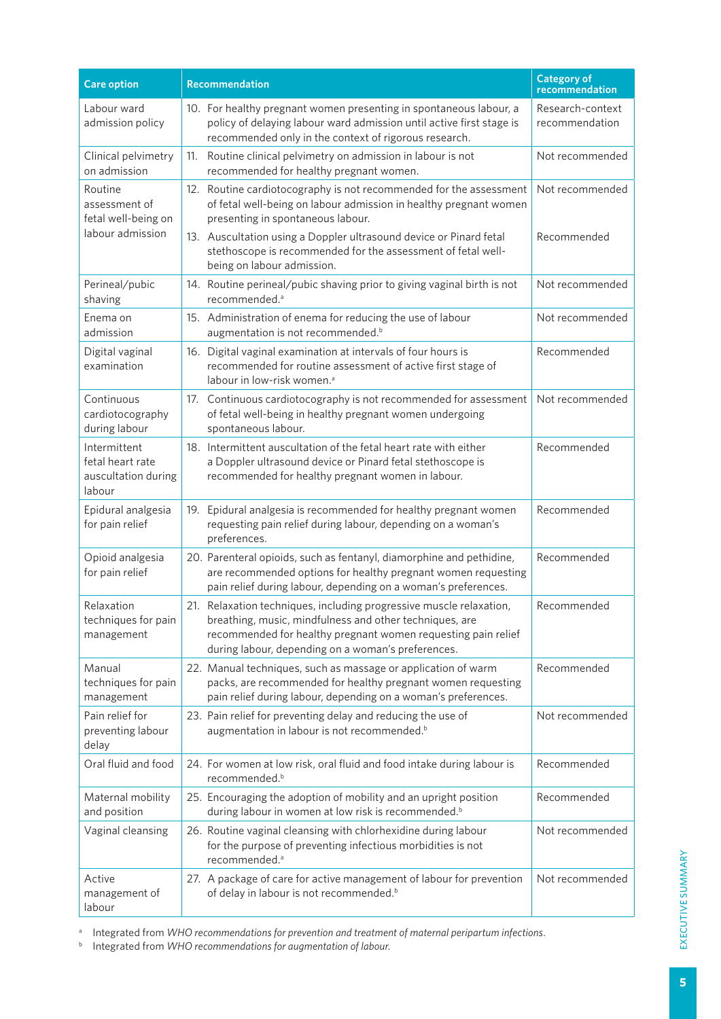| <b>Care option</b>                                                  | Recommendation                                                                                                                                                                                                                                                                                                                                   | <b>Category of</b><br>recommendation |
|---------------------------------------------------------------------|--------------------------------------------------------------------------------------------------------------------------------------------------------------------------------------------------------------------------------------------------------------------------------------------------------------------------------------------------|--------------------------------------|
| Labour ward<br>admission policy                                     | 10. For healthy pregnant women presenting in spontaneous labour, a<br>policy of delaying labour ward admission until active first stage is<br>recommended only in the context of rigorous research.                                                                                                                                              | Research-context<br>recommendation   |
| Clinical pelvimetry<br>on admission                                 | 11. Routine clinical pelvimetry on admission in labour is not<br>recommended for healthy pregnant women.                                                                                                                                                                                                                                         | Not recommended                      |
| Routine<br>assessment of<br>fetal well-being on<br>labour admission | 12. Routine cardiotocography is not recommended for the assessment<br>of fetal well-being on labour admission in healthy pregnant women<br>presenting in spontaneous labour.<br>13. Auscultation using a Doppler ultrasound device or Pinard fetal<br>stethoscope is recommended for the assessment of fetal well-<br>being on labour admission. | Not recommended<br>Recommended       |
| Perineal/pubic<br>shaving                                           | 14. Routine perineal/pubic shaving prior to giving vaginal birth is not<br>recommended. <sup>a</sup>                                                                                                                                                                                                                                             | Not recommended                      |
| Enema on<br>admission                                               | 15. Administration of enema for reducing the use of labour<br>augmentation is not recommended. <sup>b</sup>                                                                                                                                                                                                                                      | Not recommended                      |
| Digital vaginal<br>examination                                      | 16. Digital vaginal examination at intervals of four hours is<br>recommended for routine assessment of active first stage of<br>labour in low-risk women. <sup>a</sup>                                                                                                                                                                           | Recommended                          |
| Continuous<br>cardiotocography<br>during labour                     | 17. Continuous cardiotocography is not recommended for assessment<br>of fetal well-being in healthy pregnant women undergoing<br>spontaneous labour.                                                                                                                                                                                             | Not recommended                      |
| Intermittent<br>fetal heart rate<br>auscultation during<br>labour   | 18. Intermittent auscultation of the fetal heart rate with either<br>a Doppler ultrasound device or Pinard fetal stethoscope is<br>recommended for healthy pregnant women in labour.                                                                                                                                                             | Recommended                          |
| Epidural analgesia<br>for pain relief                               | 19. Epidural analgesia is recommended for healthy pregnant women<br>requesting pain relief during labour, depending on a woman's<br>preferences.                                                                                                                                                                                                 | Recommended                          |
| Opioid analgesia<br>for pain relief                                 | 20. Parenteral opioids, such as fentanyl, diamorphine and pethidine,<br>are recommended options for healthy pregnant women requesting<br>pain relief during labour, depending on a woman's preferences.                                                                                                                                          | Recommended                          |
| Relaxation<br>techniques for pain<br>management                     | 21. Relaxation techniques, including progressive muscle relaxation,<br>breathing, music, mindfulness and other techniques, are<br>recommended for healthy pregnant women requesting pain relief<br>during labour, depending on a woman's preferences.                                                                                            | Recommended                          |
| Manual<br>techniques for pain<br>management                         | 22. Manual techniques, such as massage or application of warm<br>packs, are recommended for healthy pregnant women requesting<br>pain relief during labour, depending on a woman's preferences.                                                                                                                                                  | Recommended                          |
| Pain relief for<br>preventing labour<br>delay                       | 23. Pain relief for preventing delay and reducing the use of<br>augmentation in labour is not recommended. <sup>b</sup>                                                                                                                                                                                                                          | Not recommended                      |
| Oral fluid and food                                                 | 24. For women at low risk, oral fluid and food intake during labour is<br>recommended. <sup>b</sup>                                                                                                                                                                                                                                              | Recommended                          |
| Maternal mobility<br>and position                                   | 25. Encouraging the adoption of mobility and an upright position<br>during labour in women at low risk is recommended. <sup>b</sup>                                                                                                                                                                                                              | Recommended                          |
| Vaginal cleansing                                                   | 26. Routine vaginal cleansing with chlorhexidine during labour<br>for the purpose of preventing infectious morbidities is not<br>recommended. <sup>a</sup>                                                                                                                                                                                       | Not recommended                      |
| Active<br>management of<br>labour                                   | 27. A package of care for active management of labour for prevention<br>of delay in labour is not recommended. <sup>b</sup>                                                                                                                                                                                                                      | Not recommended                      |

<sup>a</sup> Integrated from *WHO recommendations for prevention and treatment of maternal peripartum infections.* 

<sup>b</sup> Integrated from *WHO recommendations for augmentation of labour*.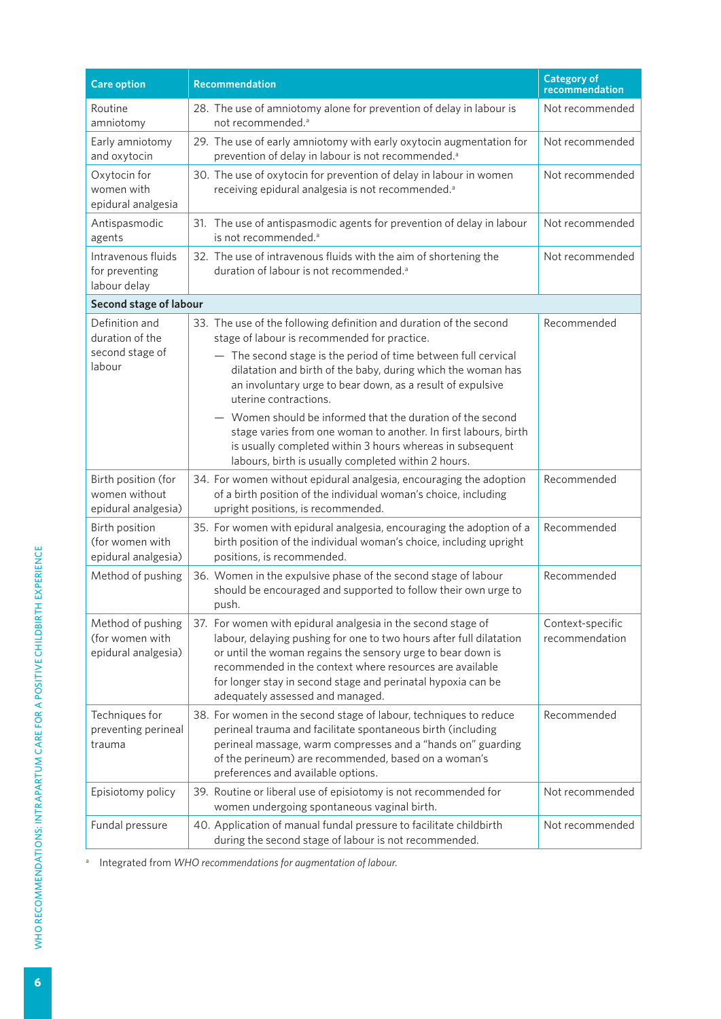| <b>Care option</b>                                             | <b>Recommendation</b>                                                                                                                                                                                                                                                                                                                                              | <b>Category of</b><br>recommendation |
|----------------------------------------------------------------|--------------------------------------------------------------------------------------------------------------------------------------------------------------------------------------------------------------------------------------------------------------------------------------------------------------------------------------------------------------------|--------------------------------------|
| Routine<br>amniotomy                                           | 28. The use of amniotomy alone for prevention of delay in labour is<br>not recommended. <sup>a</sup>                                                                                                                                                                                                                                                               | Not recommended                      |
| Early amniotomy<br>and oxytocin                                | 29. The use of early amniotomy with early oxytocin augmentation for<br>prevention of delay in labour is not recommended. <sup>a</sup>                                                                                                                                                                                                                              | Not recommended                      |
| Oxytocin for<br>women with<br>epidural analgesia               | 30. The use of oxytocin for prevention of delay in labour in women<br>receiving epidural analgesia is not recommended. <sup>a</sup>                                                                                                                                                                                                                                | Not recommended                      |
| Antispasmodic<br>agents                                        | 31. The use of antispasmodic agents for prevention of delay in labour<br>is not recommended. <sup>a</sup>                                                                                                                                                                                                                                                          | Not recommended                      |
| Intravenous fluids<br>for preventing<br>labour delay           | 32. The use of intravenous fluids with the aim of shortening the<br>duration of labour is not recommended. <sup>a</sup>                                                                                                                                                                                                                                            | Not recommended                      |
| Second stage of labour                                         |                                                                                                                                                                                                                                                                                                                                                                    |                                      |
| Definition and<br>duration of the<br>second stage of<br>labour | 33. The use of the following definition and duration of the second<br>stage of labour is recommended for practice.<br>- The second stage is the period of time between full cervical<br>dilatation and birth of the baby, during which the woman has<br>an involuntary urge to bear down, as a result of expulsive<br>uterine contractions.                        | Recommended                          |
|                                                                | - Women should be informed that the duration of the second<br>stage varies from one woman to another. In first labours, birth<br>is usually completed within 3 hours whereas in subsequent<br>labours, birth is usually completed within 2 hours.                                                                                                                  |                                      |
| Birth position (for<br>women without<br>epidural analgesia)    | 34. For women without epidural analgesia, encouraging the adoption<br>of a birth position of the individual woman's choice, including<br>upright positions, is recommended.                                                                                                                                                                                        | Recommended                          |
| Birth position<br>(for women with<br>epidural analgesia)       | 35. For women with epidural analgesia, encouraging the adoption of a<br>birth position of the individual woman's choice, including upright<br>positions, is recommended.                                                                                                                                                                                           | Recommended                          |
| Method of pushing                                              | 36. Women in the expulsive phase of the second stage of labour<br>should be encouraged and supported to follow their own urge to<br>push.                                                                                                                                                                                                                          | Recommended                          |
| Method of pushing<br>(for women with<br>epidural analgesia)    | 37. For women with epidural analgesia in the second stage of<br>labour, delaying pushing for one to two hours after full dilatation<br>or until the woman regains the sensory urge to bear down is<br>recommended in the context where resources are available<br>for longer stay in second stage and perinatal hypoxia can be<br>adequately assessed and managed. | Context-specific<br>recommendation   |
| Techniques for<br>preventing perineal<br>trauma                | 38. For women in the second stage of labour, techniques to reduce<br>perineal trauma and facilitate spontaneous birth (including<br>perineal massage, warm compresses and a "hands on" guarding<br>of the perineum) are recommended, based on a woman's<br>preferences and available options.                                                                      | Recommended                          |
| Episiotomy policy                                              | 39. Routine or liberal use of episiotomy is not recommended for<br>women undergoing spontaneous vaginal birth.                                                                                                                                                                                                                                                     | Not recommended                      |
| Fundal pressure                                                | 40. Application of manual fundal pressure to facilitate childbirth<br>during the second stage of labour is not recommended.                                                                                                                                                                                                                                        | Not recommended                      |

<sup>a</sup> Integrated from *WHO recommendations for augmentation of labour*.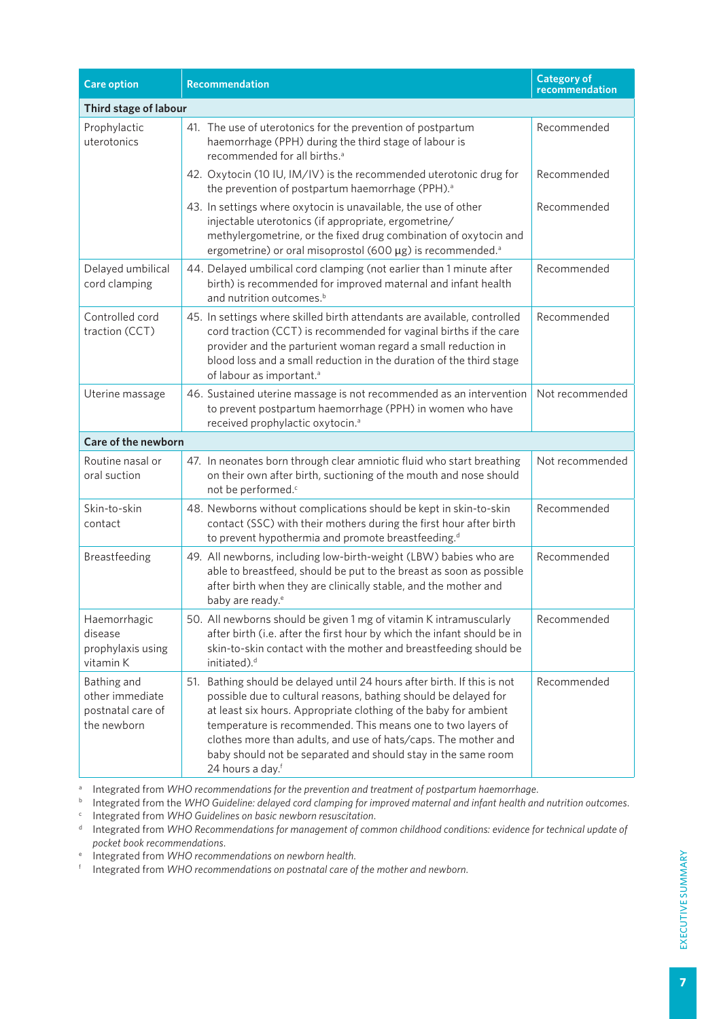| <b>Care option</b>                                                 | <b>Recommendation</b>                                                                                                                                                                                                                                                                                                                                                                                                                             | <b>Category of</b><br>recommendation |  |  |  |
|--------------------------------------------------------------------|---------------------------------------------------------------------------------------------------------------------------------------------------------------------------------------------------------------------------------------------------------------------------------------------------------------------------------------------------------------------------------------------------------------------------------------------------|--------------------------------------|--|--|--|
| Third stage of labour                                              |                                                                                                                                                                                                                                                                                                                                                                                                                                                   |                                      |  |  |  |
| Prophylactic<br>uterotonics                                        | 41. The use of uterotonics for the prevention of postpartum<br>haemorrhage (PPH) during the third stage of labour is<br>recommended for all births. <sup>a</sup>                                                                                                                                                                                                                                                                                  | Recommended                          |  |  |  |
|                                                                    | 42. Oxytocin (10 IU, IM/IV) is the recommended uterotonic drug for<br>the prevention of postpartum haemorrhage (PPH). <sup>a</sup>                                                                                                                                                                                                                                                                                                                | Recommended                          |  |  |  |
|                                                                    | 43. In settings where oxytocin is unavailable, the use of other<br>injectable uterotonics (if appropriate, ergometrine/<br>methylergometrine, or the fixed drug combination of oxytocin and<br>ergometrine) or oral misoprostol (600 µg) is recommended. <sup>a</sup>                                                                                                                                                                             | Recommended                          |  |  |  |
| Delayed umbilical<br>cord clamping                                 | 44. Delayed umbilical cord clamping (not earlier than 1 minute after<br>birth) is recommended for improved maternal and infant health<br>and nutrition outcomes. <sup>b</sup>                                                                                                                                                                                                                                                                     | Recommended                          |  |  |  |
| Controlled cord<br>traction (CCT)                                  | 45. In settings where skilled birth attendants are available, controlled<br>cord traction (CCT) is recommended for vaginal births if the care<br>provider and the parturient woman regard a small reduction in<br>blood loss and a small reduction in the duration of the third stage<br>of labour as important. <sup>a</sup>                                                                                                                     | Recommended                          |  |  |  |
| Uterine massage                                                    | 46. Sustained uterine massage is not recommended as an intervention<br>to prevent postpartum haemorrhage (PPH) in women who have<br>received prophylactic oxytocin. <sup>a</sup>                                                                                                                                                                                                                                                                  | Not recommended                      |  |  |  |
| Care of the newborn                                                |                                                                                                                                                                                                                                                                                                                                                                                                                                                   |                                      |  |  |  |
| Routine nasal or<br>oral suction                                   | 47. In neonates born through clear amniotic fluid who start breathing<br>on their own after birth, suctioning of the mouth and nose should<br>not be performed. <sup>c</sup>                                                                                                                                                                                                                                                                      | Not recommended                      |  |  |  |
| Skin-to-skin<br>contact                                            | 48. Newborns without complications should be kept in skin-to-skin<br>contact (SSC) with their mothers during the first hour after birth<br>to prevent hypothermia and promote breastfeeding. <sup>d</sup>                                                                                                                                                                                                                                         | Recommended                          |  |  |  |
| Breastfeeding                                                      | 49. All newborns, including low-birth-weight (LBW) babies who are<br>able to breastfeed, should be put to the breast as soon as possible<br>after birth when they are clinically stable, and the mother and<br>baby are ready. <sup>e</sup>                                                                                                                                                                                                       | Recommended                          |  |  |  |
| Haemorrhagic<br>disease<br>prophylaxis using<br>vitamin K          | 50. All newborns should be given 1 mg of vitamin K intramuscularly<br>after birth (i.e. after the first hour by which the infant should be in<br>skin-to-skin contact with the mother and breastfeeding should be<br>initiated). <sup>d</sup>                                                                                                                                                                                                     | Recommended                          |  |  |  |
| Bathing and<br>other immediate<br>postnatal care of<br>the newborn | 51. Bathing should be delayed until 24 hours after birth. If this is not<br>possible due to cultural reasons, bathing should be delayed for<br>at least six hours. Appropriate clothing of the baby for ambient<br>temperature is recommended. This means one to two layers of<br>clothes more than adults, and use of hats/caps. The mother and<br>baby should not be separated and should stay in the same room<br>24 hours a day. <sup>f</sup> | Recommended                          |  |  |  |

<sup>a</sup> Integrated from WHO recommendations for the prevention and treatment of postpartum haemorrhage.

<sup>b</sup> Integrated from the *WHO Guideline: delayed cord clamping for improved maternal and infant health and nutrition outcomes*. <sup>c</sup> Integrated from *WHO Guidelines on basic newborn resuscitation*.

Integrated from WHO Recommendations for management of common childhood conditions: evidence for technical update of *pocket book recommendations*.

<sup>e</sup> Integrated from *WHO recommendations on newborn health*.

<sup>f</sup> Integrated from *WHO recommendations on postnatal care of the mother and newborn*.